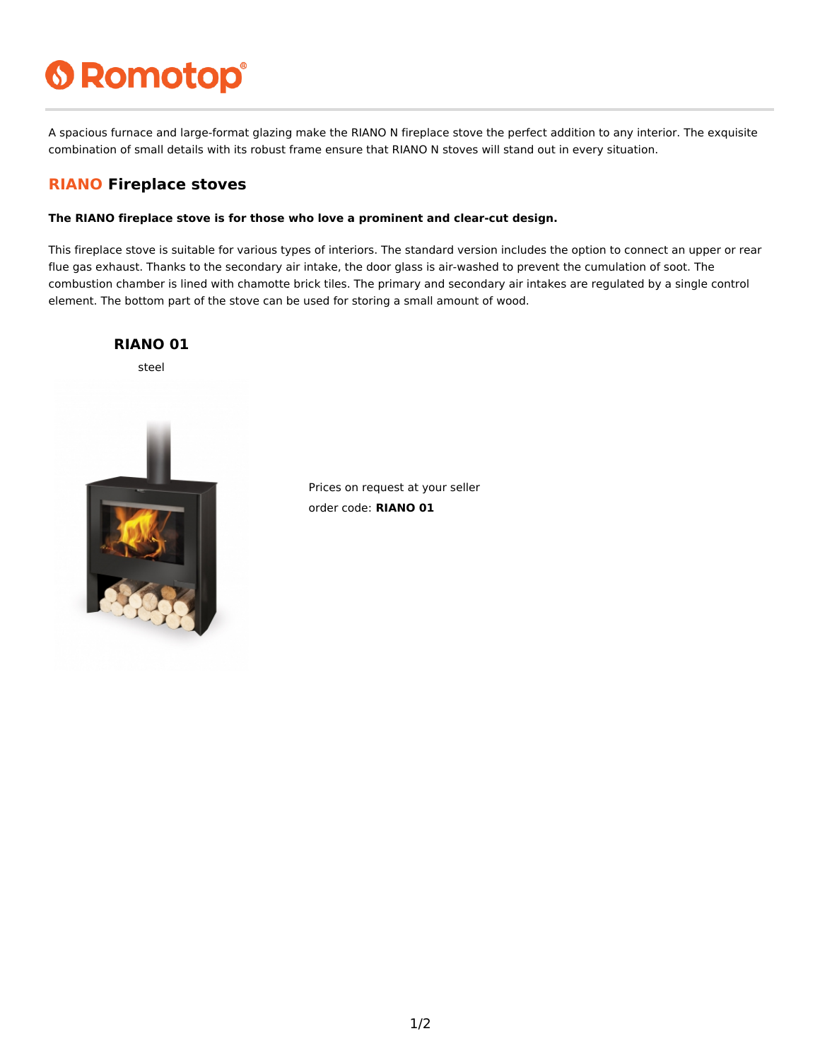# **6 Romotop®**

A spacious furnace and large-format glazing make the RIANO N fireplace stove the perfect addition to any interior. The exquisite combination of small details with its robust frame ensure that RIANO N stoves will stand out in every situation.

### **RIANO Fireplace stoves**

#### **The RIANO fireplace stove is for those who love a prominent and clear-cut design.**

This fireplace stove is suitable for various types of interiors. The standard version includes the option to connect an upper or rear flue gas exhaust. Thanks to the secondary air intake, the door glass is air-washed to prevent the cumulation of soot. The combustion chamber is lined with chamotte brick tiles. The primary and secondary air intakes are regulated by a single control element. The bottom part of the stove can be used for storing a small amount of wood.



Prices on request at your seller order code: **RIANO 01**